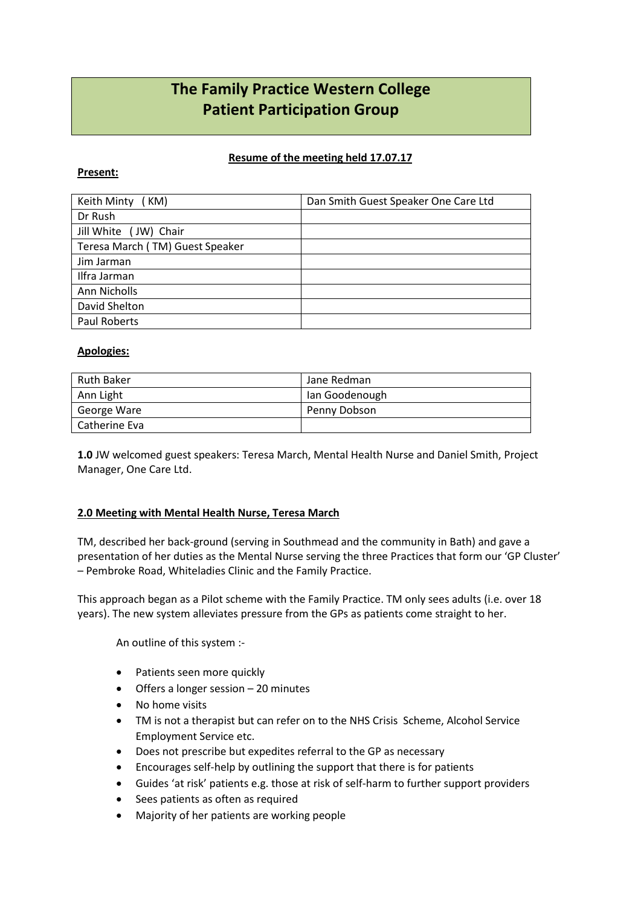# **The Family Practice Western College Patient Participation Group**

## **Resume of the meeting held 17.07.17**

#### **Present:**

| Keith Minty (KM)                | Dan Smith Guest Speaker One Care Ltd |
|---------------------------------|--------------------------------------|
| Dr Rush                         |                                      |
| Jill White (JW) Chair           |                                      |
| Teresa March (TM) Guest Speaker |                                      |
| Jim Jarman                      |                                      |
| Ilfra Jarman                    |                                      |
| Ann Nicholls                    |                                      |
| David Shelton                   |                                      |
| Paul Roberts                    |                                      |

## **Apologies:**

| Ruth Baker    | Jane Redman    |
|---------------|----------------|
| Ann Light     | lan Goodenough |
| George Ware   | Penny Dobson   |
| Catherine Eva |                |

**1.0** JW welcomed guest speakers: Teresa March, Mental Health Nurse and Daniel Smith, Project Manager, One Care Ltd.

## **2.0 Meeting with Mental Health Nurse, Teresa March**

TM, described her back-ground (serving in Southmead and the community in Bath) and gave a presentation of her duties as the Mental Nurse serving the three Practices that form our 'GP Cluster' – Pembroke Road, Whiteladies Clinic and the Family Practice.

This approach began as a Pilot scheme with the Family Practice. TM only sees adults (i.e. over 18 years). The new system alleviates pressure from the GPs as patients come straight to her.

An outline of this system :-

- Patients seen more quickly
- Offers a longer session 20 minutes
- No home visits
- TM is not a therapist but can refer on to the NHS Crisis Scheme, Alcohol Service Employment Service etc.
- Does not prescribe but expedites referral to the GP as necessary
- Encourages self-help by outlining the support that there is for patients
- Guides 'at risk' patients e.g. those at risk of self-harm to further support providers
- Sees patients as often as required
- Majority of her patients are working people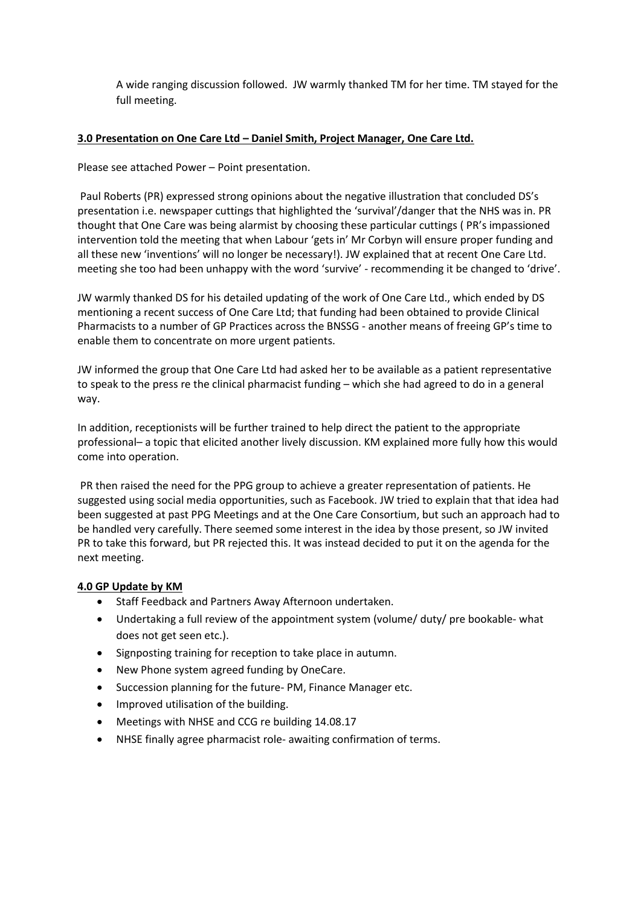A wide ranging discussion followed. JW warmly thanked TM for her time. TM stayed for the full meeting.

## **3.0 Presentation on One Care Ltd – Daniel Smith, Project Manager, One Care Ltd.**

Please see attached Power – Point presentation.

Paul Roberts (PR) expressed strong opinions about the negative illustration that concluded DS's presentation i.e. newspaper cuttings that highlighted the 'survival'/danger that the NHS was in. PR thought that One Care was being alarmist by choosing these particular cuttings ( PR's impassioned intervention told the meeting that when Labour 'gets in' Mr Corbyn will ensure proper funding and all these new 'inventions' will no longer be necessary!). JW explained that at recent One Care Ltd. meeting she too had been unhappy with the word 'survive' - recommending it be changed to 'drive'.

JW warmly thanked DS for his detailed updating of the work of One Care Ltd., which ended by DS mentioning a recent success of One Care Ltd; that funding had been obtained to provide Clinical Pharmacists to a number of GP Practices across the BNSSG - another means of freeing GP's time to enable them to concentrate on more urgent patients.

JW informed the group that One Care Ltd had asked her to be available as a patient representative to speak to the press re the clinical pharmacist funding – which she had agreed to do in a general way.

In addition, receptionists will be further trained to help direct the patient to the appropriate professional– a topic that elicited another lively discussion. KM explained more fully how this would come into operation.

PR then raised the need for the PPG group to achieve a greater representation of patients. He suggested using social media opportunities, such as Facebook. JW tried to explain that that idea had been suggested at past PPG Meetings and at the One Care Consortium, but such an approach had to be handled very carefully. There seemed some interest in the idea by those present, so JW invited PR to take this forward, but PR rejected this. It was instead decided to put it on the agenda for the next meeting.

#### **4.0 GP Update by KM**

- Staff Feedback and Partners Away Afternoon undertaken.
- Undertaking a full review of the appointment system (volume/ duty/ pre bookable- what does not get seen etc.).
- Signposting training for reception to take place in autumn.
- New Phone system agreed funding by OneCare.
- Succession planning for the future- PM, Finance Manager etc.
- Improved utilisation of the building.
- Meetings with NHSE and CCG re building 14.08.17
- NHSE finally agree pharmacist role- awaiting confirmation of terms.